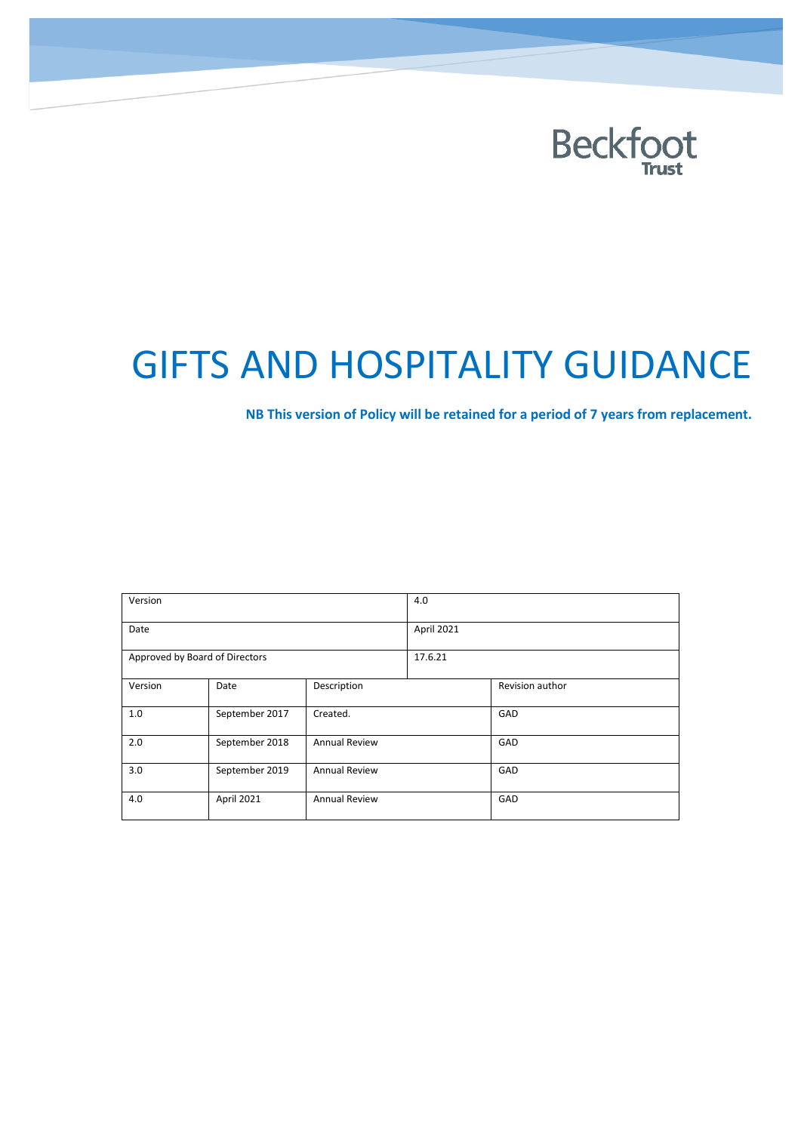

# GIFTS AND HOSPITALITY GUIDANCE

**NB This version of Policy will be retained for a period of 7 years from replacement.**

| Version                        |                |                      | 4.0        |                 |  |
|--------------------------------|----------------|----------------------|------------|-----------------|--|
| Date                           |                |                      | April 2021 |                 |  |
| Approved by Board of Directors |                |                      | 17.6.21    |                 |  |
| Version                        | Date           | Description          |            | Revision author |  |
| 1.0                            | September 2017 | Created.             |            | GAD             |  |
| 2.0                            | September 2018 | <b>Annual Review</b> |            | GAD             |  |
| 3.0                            | September 2019 | <b>Annual Review</b> |            | GAD             |  |
| 4.0                            | April 2021     | <b>Annual Review</b> |            | GAD             |  |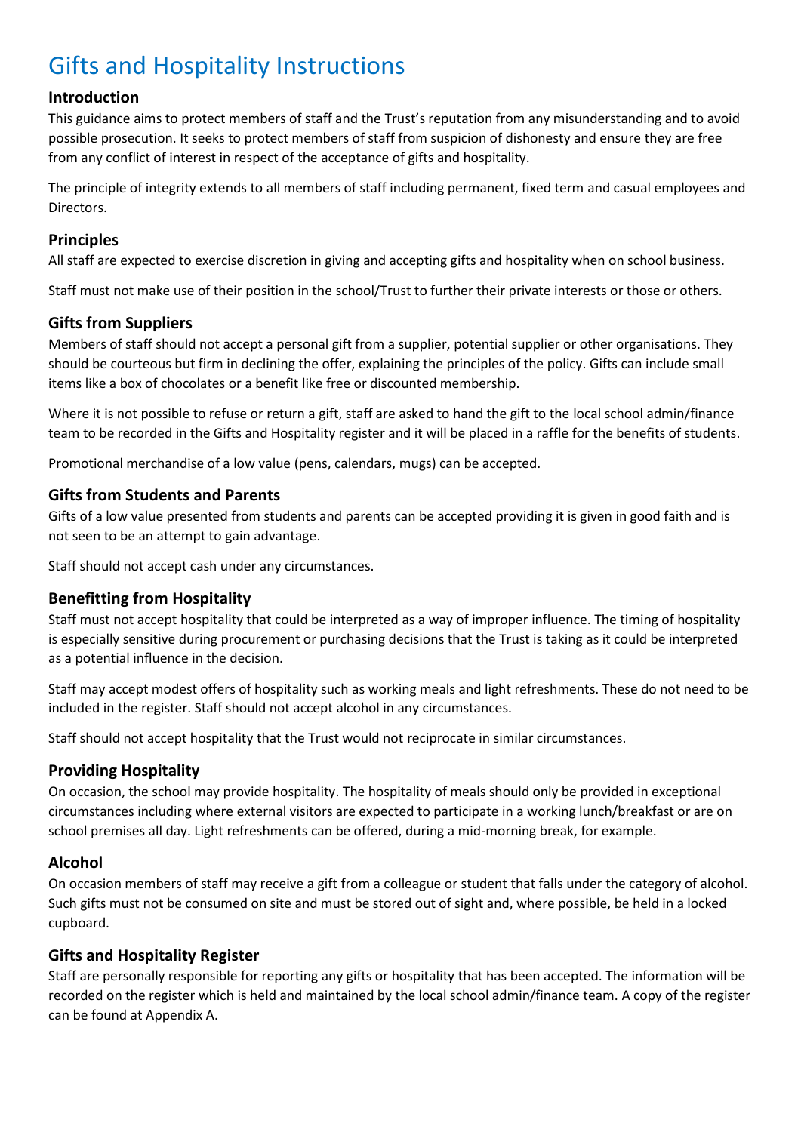## Gifts and Hospitality Instructions

#### **Introduction**

This guidance aims to protect members of staff and the Trust's reputation from any misunderstanding and to avoid possible prosecution. It seeks to protect members of staff from suspicion of dishonesty and ensure they are free from any conflict of interest in respect of the acceptance of gifts and hospitality.

The principle of integrity extends to all members of staff including permanent, fixed term and casual employees and Directors.

#### **Principles**

All staff are expected to exercise discretion in giving and accepting gifts and hospitality when on school business.

Staff must not make use of their position in the school/Trust to further their private interests or those or others.

#### **Gifts from Suppliers**

Members of staff should not accept a personal gift from a supplier, potential supplier or other organisations. They should be courteous but firm in declining the offer, explaining the principles of the policy. Gifts can include small items like a box of chocolates or a benefit like free or discounted membership.

Where it is not possible to refuse or return a gift, staff are asked to hand the gift to the local school admin/finance team to be recorded in the Gifts and Hospitality register and it will be placed in a raffle for the benefits of students.

Promotional merchandise of a low value (pens, calendars, mugs) can be accepted.

#### **Gifts from Students and Parents**

Gifts of a low value presented from students and parents can be accepted providing it is given in good faith and is not seen to be an attempt to gain advantage.

Staff should not accept cash under any circumstances.

#### **Benefitting from Hospitality**

Staff must not accept hospitality that could be interpreted as a way of improper influence. The timing of hospitality is especially sensitive during procurement or purchasing decisions that the Trust is taking as it could be interpreted as a potential influence in the decision.

Staff may accept modest offers of hospitality such as working meals and light refreshments. These do not need to be included in the register. Staff should not accept alcohol in any circumstances.

Staff should not accept hospitality that the Trust would not reciprocate in similar circumstances.

#### **Providing Hospitality**

On occasion, the school may provide hospitality. The hospitality of meals should only be provided in exceptional circumstances including where external visitors are expected to participate in a working lunch/breakfast or are on school premises all day. Light refreshments can be offered, during a mid-morning break, for example.

#### **Alcohol**

On occasion members of staff may receive a gift from a colleague or student that falls under the category of alcohol. Such gifts must not be consumed on site and must be stored out of sight and, where possible, be held in a locked cupboard.

#### **Gifts and Hospitality Register**

Staff are personally responsible for reporting any gifts or hospitality that has been accepted. The information will be recorded on the register which is held and maintained by the local school admin/finance team. A copy of the register can be found at Appendix A.